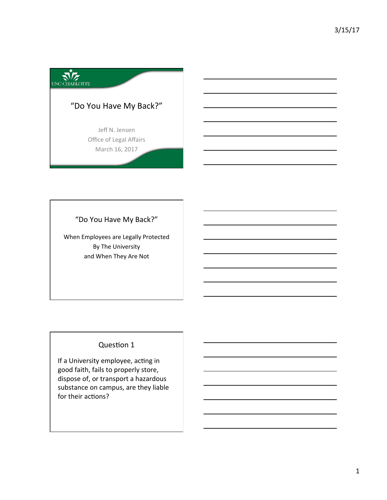

"Do You Have My Back?" 

When Employees are Legally Protected By The University and When They Are Not

# **Question 1**

If a University employee, acting in good faith, fails to properly store, dispose of, or transport a hazardous substance on campus, are they liable for their actions?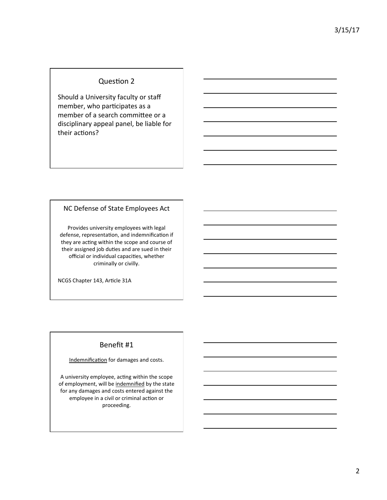## Question 2

Should a University faculty or staff member, who participates as a member of a search committee or a disciplinary appeal panel, be liable for their actions?

### NC Defense of State Employees Act

Provides university employees with legal defense, representation, and indemnification if they are acting within the scope and course of their assigned job duties and are sued in their official or individual capacities, whether criminally or civilly.

NCGS Chapter 143, Article 31A

## Benefit #1

Indemnification for damages and costs.

A university employee, acting within the scope of employment, will be indemnified by the state for any damages and costs entered against the employee in a civil or criminal action or proceeding.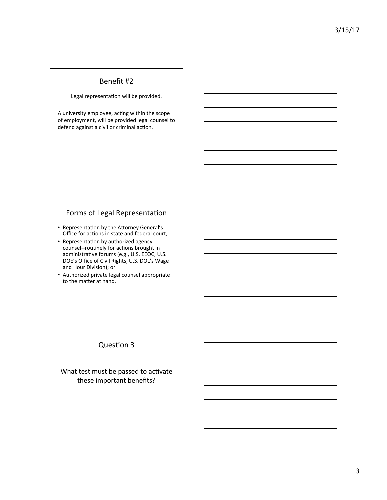## Benefit #2

#### Legal representation will be provided.

A university employee, acting within the scope of employment, will be provided legal counsel to defend against a civil or criminal action.

# Forms of Legal Representation

- Representation by the Attorney General's Office for actions in state and federal court;
- Representation by authorized agency counsel--routinely for actions brought in administrative forums (e.g., U.S. EEOC, U.S. DOE's Office of Civil Rights, U.S. DOL's Wage and Hour Division); or
- Authorized private legal counsel appropriate to the matter at hand.

## **Question 3**

What test must be passed to activate these important benefits?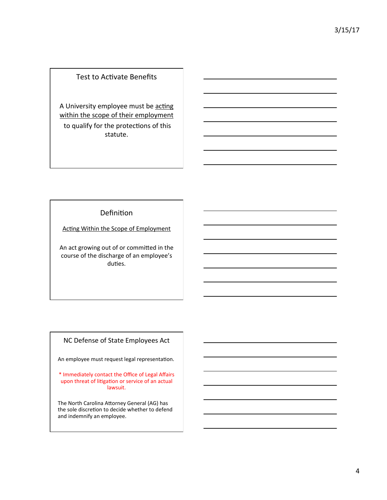## Test to Activate Benefits

A University employee must be acting within the scope of their employment to qualify for the protections of this statute. 

## Definition

Acting Within the Scope of Employment

An act growing out of or committed in the course of the discharge of an employee's duties.

# NC Defense of State Employees Act

An employee must request legal representation.

\* Immediately contact the Office of Legal Affairs upon threat of litigation or service of an actual lawsuit. 

The North Carolina Attorney General (AG) has the sole discretion to decide whether to defend and indemnify an employee.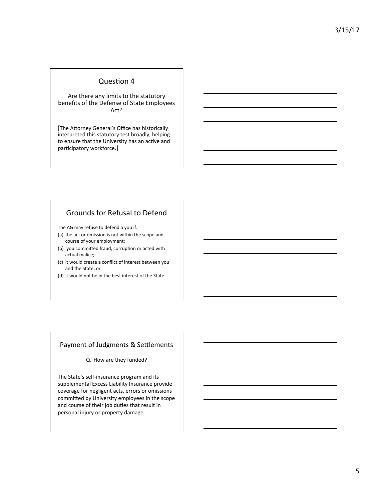### Question 4

Are there any limits to the statutory benefits of the Defense of State Employees Act? 

[The Attorney General's Office has historically interpreted this statutory test broadly, helping to ensure that the University has an active and participatory workforce.]

## Grounds for Refusal to Defend

The AG may refuse to defend a you if:

- (a) the act or omission is not within the scope and course of your employment;
- (b) you committed fraud, corruption or acted with actual malice;
- (c) it would create a conflict of interest between you and the State; or
- (d) it would not be in the best interest of the State.

#### Payment of Judgments & Settlements

Q. How are they funded?

The State's self-insurance program and its supplemental Excess Liability Insurance provide coverage for negligent acts, errors or omissions committed by University employees in the scope and course of their job duties that result in personal injury or property damage.